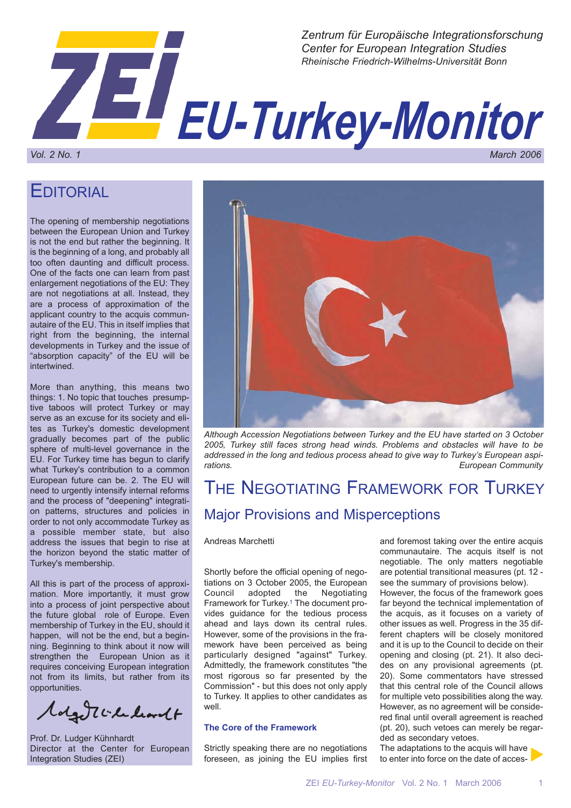

## **EDITORIAL**

The opening of membership negotiations between the European Union and Turkey is not the end but rather the beginning. It is the beginning of a long, and probably all too often daunting and difficult process. One of the facts one can learn from past enlargement negotiations of the EU: They are not negotiations at all. Instead, they are a process of approximation of the applicant country to the acquis communautaire of the EU. This in itself implies that right from the beginning, the internal developments in Turkey and the issue of "absorption capacity" of the EU will be intertwined.

More than anything, this means two things: 1. No topic that touches presumptive taboos will protect Turkey or may serve as an excuse for its society and elites as Turkey's domestic development gradually becomes part of the public sphere of multi-level governance in the EU. For Turkey time has begun to clarify what Turkey's contribution to a common European future can be. 2. The EU will need to urgently intensify internal reforms and the process of "deepening" integration patterns, structures and policies in order to not only accommodate Turkey as a possible member state, but also address the issues that begin to rise at the horizon beyond the static matter of Turkey's membership.

All this is part of the process of approximation. More importantly, it must grow into a process of joint perspective about the future global role of Europe. Even membership of Turkey in the EU, should it happen, will not be the end, but a beginning. Beginning to think about it now will strengthen the European Union as it requires conceiving European integration not from its limits, but rather from its opportunities.

Magentiche livet

Prof. Dr. Ludger Kühnhardt Director at the Center for European Integration Studies (ZEI)



*Although Accession Negotiations between Turkey and the EU have started on 3 October 2005, Turkey still faces strong head winds. Problems and obstacles will have to be addressed in the long and tedious process ahead to give way to Turkey's European aspirations. European Community*

# THE NEGOTIATING FRAMEWORK FOR TURKEY Major Provisions and Misperceptions

### Andreas Marchetti

Shortly before the official opening of negotiations on 3 October 2005, the European<br>Council adopted the Negotiating Council adopted the Negotiating Framework for Turkey.1 The document provides guidance for the tedious process ahead and lays down its central rules. However, some of the provisions in the framework have been perceived as being particularly designed "against" Turkey. Admittedly, the framework constitutes "the most rigorous so far presented by the Commission" - but this does not only apply to Turkey. It applies to other candidates as well.

### **The Core of the Framework**

Strictly speaking there are no negotiations foreseen, as joining the EU implies first and foremost taking over the entire acquis communautaire. The acquis itself is not negotiable. The only matters negotiable are potential transitional measures (pt. 12 see the summary of provisions below).

However, the focus of the framework goes far beyond the technical implementation of the acquis, as it focuses on a variety of other issues as well. Progress in the 35 different chapters will be closely monitored and it is up to the Council to decide on their opening and closing (pt. 21). It also decides on any provisional agreements (pt. 20). Some commentators have stressed that this central role of the Council allows for multiple veto possibilities along the way. However, as no agreement will be considered final until overall agreement is reached (pt. 20), such vetoes can merely be regarded as secondary vetoes.

The adaptations to the acquis will have to enter into force on the date of acces-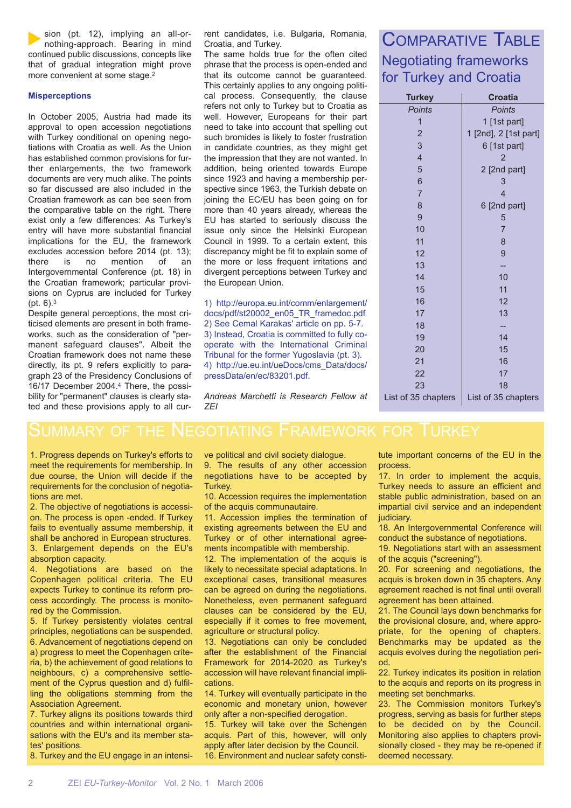sion (pt. 12), implying an all-ornothing-approach. Bearing in mind continued public discussions, concepts like that of gradual integration might prove more convenient at some stage.2

### **Misperceptions**

In October 2005, Austria had made its approval to open accession negotiations with Turkey conditional on opening negotiations with Croatia as well. As the Union has established common provisions for further enlargements, the two framework documents are very much alike. The points so far discussed are also included in the Croatian framework as can bee seen from the comparative table on the right. There exist only a few differences: As Turkey's entry will have more substantial financial implications for the EU, the framework excludes accession before 2014 (pt. 13); there is no mention of an Intergovernmental Conference (pt. 18) in the Croatian framework; particular provisions on Cyprus are included for Turkey (pt. 6).3

Despite general perceptions, the most criticised elements are present in both frameworks, such as the consideration of "permanent safeguard clauses". Albeit the Croatian framework does not name these directly, its pt. 9 refers explicitly to paragraph 23 of the Presidency Conclusions of 16/17 December 2004.4 There, the possibility for "permanent" clauses is clearly stated and these provisions apply to all current candidates, i.e. Bulgaria, Romania, Croatia, and Turkey.

The same holds true for the often cited phrase that the process is open-ended and that its outcome cannot be guaranteed. This certainly applies to any ongoing political process. Consequently, the clause refers not only to Turkey but to Croatia as well. However, Europeans for their part need to take into account that spelling out such bromides is likely to foster frustration in candidate countries, as they might get the impression that they are not wanted. In addition, being oriented towards Europe since 1923 and having a membership perspective since 1963, the Turkish debate on joining the EC/EU has been going on for more than 40 years already, whereas the EU has started to seriously discuss the issue only since the Helsinki European Council in 1999. To a certain extent, this discrepancy might be fit to explain some of the more or less frequent irritations and divergent perceptions between Turkey and the European Union.

1) http://europa.eu.int/comm/enlargement/ docs/pdf/st20002\_en05\_TR\_framedoc.pdf. 2) See Cemal Karakas' article on pp. 5-7. 3) Instead, Croatia is committed to fully cooperate with the International Criminal Tribunal for the former Yugoslavia (pt. 3). 4) http://ue.eu.int/ueDocs/cms\_Data/docs/ pressData/en/ec/83201.pdf.

## COMPARATIVE TABLE Negotiating frameworks for Turkey and Croatia

| <b>Turkey</b>            | <b>Croatia</b>        |  |
|--------------------------|-----------------------|--|
| <b>Points</b>            | <b>Points</b>         |  |
| $\overline{1}$           | 1 [1st part]          |  |
| $\overline{c}$           | 1 [2nd], 2 [1st part] |  |
| 3                        | 6 [1st part]          |  |
| $\overline{\mathcal{L}}$ | 2                     |  |
| 5                        | 2 [2nd part]          |  |
| 6                        | 3                     |  |
| $\overline{7}$           | 4                     |  |
| 8                        | 6 [2nd part]          |  |
| 9                        | 5                     |  |
| 10                       | $\overline{7}$        |  |
| 11                       | 8                     |  |
| 12                       | 9                     |  |
| 13                       |                       |  |
| 14                       | 10                    |  |
| 15                       | 11                    |  |
| 16                       | 12                    |  |
| 17                       | 13                    |  |
| 18                       |                       |  |
| 19                       | 14                    |  |
| 20                       | 15                    |  |
| 21                       | 16                    |  |
| 22                       | 17                    |  |
| 23                       | 18                    |  |
| List of 35 chapters      | List of 35 chapters   |  |

*Andreas Marchetti is Research Fellow at ZEI*

## SUMMARY OF THE NEGOTIATING FRAMEWORK FOR TURKEY

1. Progress depends on Turkey's efforts to meet the requirements for membership. In due course, the Union will decide if the requirements for the conclusion of negotiations are met.

2. The objective of negotiations is accession. The process is open -ended. If Turkey fails to eventually assume membership, it shall be anchored in European structures. 3. Enlargement depends on the EU's absorption capacity.

4. Negotiations are based on the Copenhagen political criteria. The EU expects Turkey to continue its reform process accordingly. The process is monitored by the Commission.

5. If Turkey persistently violates central principles, negotiations can be suspended. 6. Advancement of negotiations depend on a) progress to meet the Copenhagen criteria, b) the achievement of good relations to neighbours, c) a comprehensive settlement of the Cyprus question and d) fulfilling the obligations stemming from the Association Agreement.

7. Turkey aligns its positions towards third countries and within international organisations with the EU's and its member states' positions.

8. Turkey and the EU engage in an intensi-

ve political and civil society dialogue. 9. The results of any other accession negotiations have to be accepted by Turkey.

10. Accession requires the implementation of the acquis communautaire.

11. Accession implies the termination of existing agreements between the EU and Turkey or of other international agreements incompatible with membership.

12. The implementation of the acquis is likely to necessitate special adaptations. In exceptional cases, transitional measures can be agreed on during the negotiations. Nonetheless, even permanent safeguard clauses can be considered by the EU, especially if it comes to free movement, agriculture or structural policy.

13. Negotiations can only be concluded after the establishment of the Financial Framework for 2014-2020 as Turkey's accession will have relevant financial implications.

14. Turkey will eventually participate in the economic and monetary union, however only after a non-specified derogation.

15. Turkey will take over the Schengen acquis. Part of this, however, will only apply after later decision by the Council. 16. Environment and nuclear safety constitute important concerns of the EU in the process.

17. In order to implement the acquis, Turkey needs to assure an efficient and stable public administration, based on an impartial civil service and an independent judiciary.

18. An Intergovernmental Conference will conduct the substance of negotiations.

19. Negotiations start with an assessment of the acquis ("screening").

20. For screening and negotiations, the acquis is broken down in 35 chapters. Any agreement reached is not final until overall agreement has been attained.

21. The Council lays down benchmarks for the provisional closure, and, where appropriate, for the opening of chapters. Benchmarks may be updated as the acquis evolves during the negotiation period.

22. Turkey indicates its position in relation to the acquis and reports on its progress in meeting set benchmarks.

23. The Commission monitors Turkey's progress, serving as basis for further steps to be decided on by the Council. Monitoring also applies to chapters provisionally closed - they may be re-opened if deemed necessary.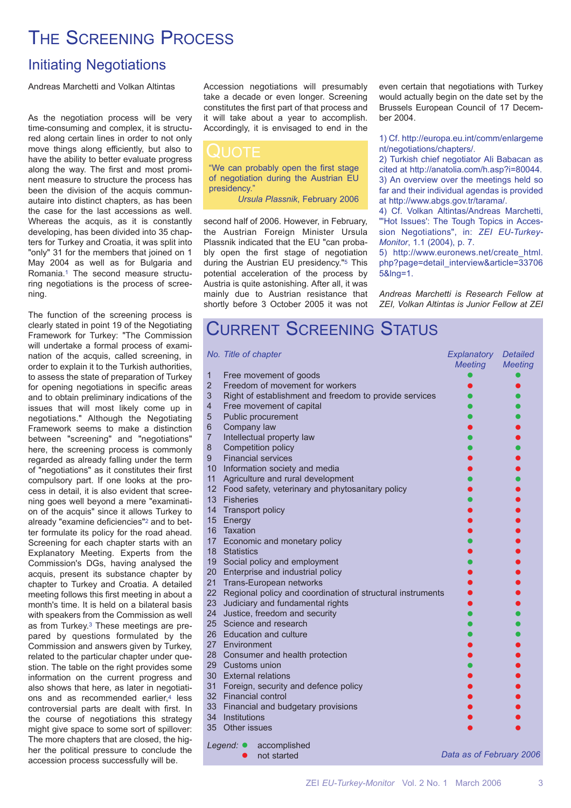# THE SCREENING PROCESS

## Initiating Negotiations

Andreas Marchetti and Volkan Altintas

As the negotiation process will be very time-consuming and complex, it is structured along certain lines in order to not only move things along efficiently, but also to have the ability to better evaluate progress along the way. The first and most prominent measure to structure the process has been the division of the acquis communautaire into distinct chapters, as has been the case for the last accessions as well. Whereas the acquis, as it is constantly developing, has been divided into 35 chapters for Turkey and Croatia, it was split into "only" 31 for the members that joined on 1 May 2004 as well as for Bulgaria and Romania.1 The second measure structuring negotiations is the process of screening.

The function of the screening process is clearly stated in point 19 of the Negotiating Framework for Turkey: "The Commission will undertake a formal process of examination of the acquis, called screening, in order to explain it to the Turkish authorities, to assess the state of preparation of Turkey for opening negotiations in specific areas and to obtain preliminary indications of the issues that will most likely come up in negotiations." Although the Negotiating Framework seems to make a distinction between "screening" and "negotiations" here, the screening process is commonly regarded as already falling under the term of "negotiations" as it constitutes their first compulsory part. If one looks at the process in detail, it is also evident that screening goes well beyond a mere "examination of the acquis" since it allows Turkey to already "examine deficiencies"2 and to better formulate its policy for the road ahead. Screening for each chapter starts with an Explanatory Meeting. Experts from the Commission's DGs, having analysed the acquis, present its substance chapter by chapter to Turkey and Croatia. A detailed meeting follows this first meeting in about a month's time. It is held on a bilateral basis with speakers from the Commission as well as from Turkey.3 These meetings are prepared by questions formulated by the Commission and answers given by Turkey, related to the particular chapter under question. The table on the right provides some information on the current progress and also shows that here, as later in negotiations and as recommended earlier,<sup>4</sup> less controversial parts are dealt with first. In the course of negotiations this strategy might give space to some sort of spillover: The more chapters that are closed, the higher the political pressure to conclude the accession process successfully will be.

Accession negotiations will presumably take a decade or even longer. Screening constitutes the first part of that process and it will take about a year to accomplish. Accordingly, it is envisaged to end in the

"We can probably open the first stage of negotiation during the Austrian EU presidency.'

*Ursula Plassnik*, February 2006

second half of 2006. However, in February, the Austrian Foreign Minister Ursula Plassnik indicated that the EU "can probably open the first stage of negotiation during the Austrian EU presidency."5 This potential acceleration of the process by Austria is quite astonishing. After all, it was mainly due to Austrian resistance that shortly before 3 October 2005 it was not even certain that negotiations with Turkey would actually begin on the date set by the Brussels European Council of 17 December 2004.

## 1) Cf. http://europa.eu.int/comm/enlargeme nt/negotiations/chapters/.

2) Turkish chief negotiator Ali Babacan as cited at http://anatolia.com/h.asp?i=80044. 3) An overview over the meetings held so far and their individual agendas is provided at http://www.abgs.gov.tr/tarama/.

4) Cf. Volkan Altintas/Andreas Marchetti, "Hot Issues': The Tough Topics in Accession Negotiations", in: *ZEI EU-Turkey-Monitor*, 1.1 (2004), p. 7.

5) http://www.euronews.net/create\_html. php?page=detail\_interview&article=33706 5&lng=1.

*Andreas Marchetti is Research Fellow at ZEI, Volkan Altintas is Junior Fellow at ZEI*

# CURRENT SCREENING STATUS

|                                | No. Title of chapter                                          | Explanatory              | <b>Detailed</b> |
|--------------------------------|---------------------------------------------------------------|--------------------------|-----------------|
|                                |                                                               | <b>Meeting</b>           | <b>Meeting</b>  |
| $\mathbf{1}$<br>$\overline{2}$ | Free movement of goods<br>Freedom of movement for workers     |                          |                 |
| 3                              | Right of establishment and freedom to provide services        |                          |                 |
| $\overline{4}$                 | Free movement of capital                                      |                          |                 |
| 5                              | Public procurement                                            |                          |                 |
| $\,$ 6 $\,$                    | Company law                                                   |                          |                 |
| $\overline{7}$                 | Intellectual property law                                     |                          |                 |
| $\bf 8$                        | Competition policy                                            |                          |                 |
| 9                              | <b>Financial services</b>                                     |                          |                 |
|                                | 10 Information society and media                              |                          |                 |
| 11                             | Agriculture and rural development                             |                          |                 |
|                                | 12 Food safety, veterinary and phytosanitary policy           |                          |                 |
|                                | 13 Fisheries                                                  |                          |                 |
|                                | 14 Transport policy                                           |                          |                 |
|                                | 15 Energy                                                     |                          |                 |
|                                | 16 Taxation                                                   |                          |                 |
|                                | 17 Economic and monetary policy                               |                          |                 |
|                                | 18 Statistics                                                 |                          |                 |
|                                | 19 Social policy and employment                               |                          |                 |
|                                | 20 Enterprise and industrial policy                           |                          |                 |
|                                | 21 Trans-European networks                                    |                          |                 |
|                                | 22 Regional policy and coordination of structural instruments |                          |                 |
|                                | 23 Judiciary and fundamental rights                           |                          |                 |
|                                | 24 Justice, freedom and security                              |                          |                 |
|                                | 25 Science and research                                       |                          |                 |
|                                | 26 Education and culture                                      |                          |                 |
|                                | 27 Environment                                                |                          |                 |
|                                | 28 Consumer and health protection                             |                          |                 |
|                                | 29 Customs union                                              |                          |                 |
|                                | 30 External relations                                         |                          |                 |
|                                | 31 Foreign, security and defence policy                       |                          |                 |
|                                | 32 Financial control                                          |                          |                 |
|                                | 33 Financial and budgetary provisions                         |                          |                 |
|                                | 34 Institutions                                               |                          |                 |
|                                | 35 Other issues                                               |                          |                 |
|                                | Legend: $\bullet$<br>accomplished                             |                          |                 |
|                                | not started                                                   | Data as of February 2006 |                 |
|                                |                                                               |                          |                 |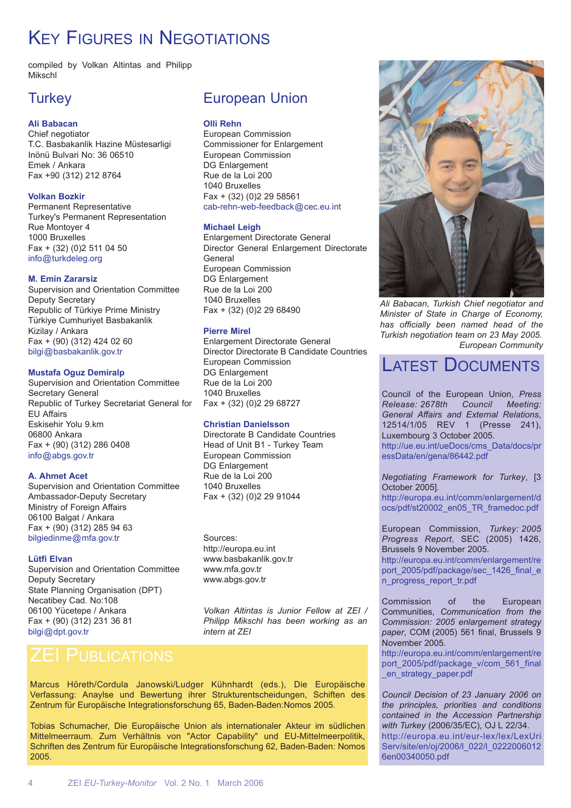# **KEY FIGURES IN NEGOTIATIONS**

compiled by Volkan Altintas and Philipp Mikschl

## **Turkey**

## **Ali Babacan**

Chief negotiator T.C. Basbakanlik Hazine Müstesarligi Inönü Bulvari No: 36 06510 Emek / Ankara Fax +90 (312) 212 8764

## **Volkan Bozkir**

Permanent Representative Turkey's Permanent Representation Rue Montoyer 4 1000 Bruxelles Fax + (32) (0)2 511 04 50 info@turkdeleg.org

### **M. Emin Zararsiz**

Supervision and Orientation Committee Deputy Secretary Republic of Türkiye Prime Ministry Türkiye Cumhuriyet Basbakanlik Kizilay / Ankara Fax + (90) (312) 424 02 60 bilgi@basbakanlik.gov.tr

## **Mustafa Oguz Demiralp**

Supervision and Orientation Committee Secretary General Republic of Turkey Secretariat General for EU Affairs Eskisehir Yolu 9.km 06800 Ankara Fax + (90) (312) 286 0408 info@abgs.gov.tr

## **A. Ahmet Acet**

Supervision and Orientation Committee Ambassador-Deputy Secretary Ministry of Foreign Affairs 06100 Balgat / Ankara Fax + (90) (312) 285 94 63 bilgiedinme@mfa.gov.tr

## **Lütfi Elvan**

Supervision and Orientation Committee Deputy Secretary State Planning Organisation (DPT) Necatibey Cad. No:108 06100 Yücetepe / Ankara Fax + (90) (312) 231 36 81 bilgi@dpt.gov.tr

## European Union

## **Olli Rehn**

European Commission Commissioner for Enlargement European Commission DG Enlargement Rue de la Loi 200 1040 Bruxelles Fax + (32) (0)2 29 58561 cab-rehn-web-feedback@cec.eu.int

## **Michael Leigh**

Enlargement Directorate General Director General Enlargement Directorate **General** European Commission DG Enlargement Rue de la Loi 200 1040 Bruxelles Fax + (32) (0)2 29 68490

## **Pierre Mirel**

Enlargement Directorate General Director Directorate B Candidate Countries European Commission DG Enlargement Rue de la Loi 200 1040 Bruxelles Fax + (32) (0)2 29 68727

## **Christian Danielsson**

Directorate B Candidate Countries Head of Unit B1 - Turkey Team European Commission DG Enlargement Rue de la Loi 200 1040 Bruxelles Fax + (32) (0)2 29 91044

Sources: http://europa.eu.int www.basbakanlik.gov.tr www.mfa.gov.tr www.abgs.gov.tr

*Volkan Altintas is Junior Fellow at ZEI / Philipp Mikschl has been working as an intern at ZEI*

Marcus Höreth/Cordula Janowski/Ludger Kühnhardt (eds.), Die Europäische Verfassung: Anaylse und Bewertung ihrer Strukturentscheidungen, Schiften des Zentrum für Europäische Integrationsforschung 65, Baden-Baden:Nomos 2005.

Tobias Schumacher, Die Europäische Union als internationaler Akteur im südlichen Mittelmeerraum. Zum Verhältnis von "Actor Capability" und EU-Mittelmeerpolitik, Schriften des Zentrum für Europäische Integrationsforschung 62, Baden-Baden: Nomos 2005.



*Ali Babacan, Turkish Chief negotiator and Minister of State in Charge of Economy, has officially been named head of the Turkish negotiation team on 23 May 2005. European Community*

## LATEST DOCUMENTS

Council of the European Union, *Press Release: 2678th Council Meeting: General Affairs and External Relations*, 12514/1/05 REV 1 (Presse 241), Luxembourg 3 October 2005. http://ue.eu.int/ueDocs/cms\_Data/docs/pr essData/en/gena/86442.pdf

*Negotiating Framework for Turkey*, [3 October 2005].

http://europa.eu.int/comm/enlargement/d ocs/pdf/st20002\_en05\_TR\_framedoc.pdf

European Commission, *Turkey: 2005 Progress Report*, SEC (2005) 1426, Brussels 9 November 2005. http://europa.eu.int/comm/enlargement/re

port\_2005/pdf/package/sec\_1426\_final\_e n\_progress\_report\_tr.pdf

Commission of the European Communities, *Communication from the Commission: 2005 enlargement strategy paper*, COM (2005) 561 final, Brussels 9 November 2005.

http://europa.eu.int/comm/enlargement/re port\_2005/pdf/package\_v/com\_561\_final en strategy paper.pdf

*Council Decision of 23 January 2006 on the principles, priorities and conditions contained in the Accession Partnership with Turkey* (2006/35/EC), OJ L 22/34. http://europa.eu.int/eur-lex/lex/LexUri Serv/site/en/oj/2006/l\_022/l\_0222006012 6en00340050.pdf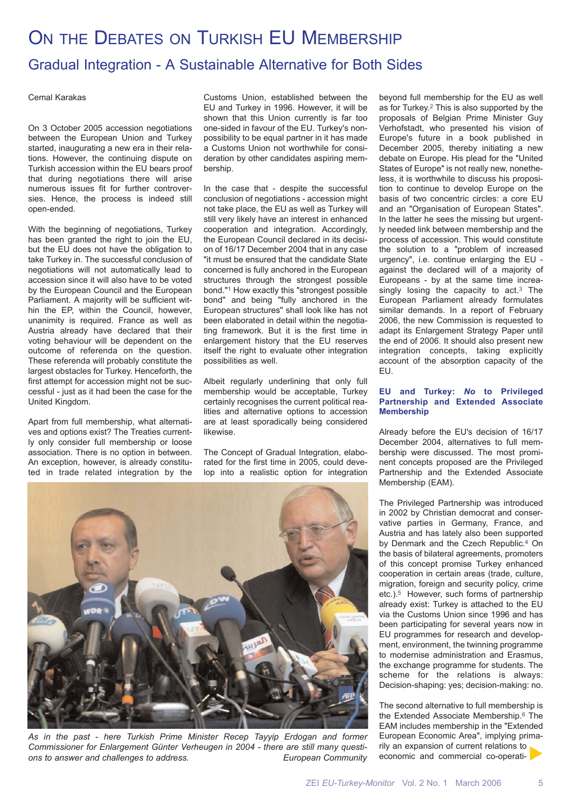# ON THE DEBATES ON TURKISH EU MEMBERSHIP Gradual Integration - A Sustainable Alternative for Both Sides

### Cemal Karakas

On 3 October 2005 accession negotiations between the European Union and Turkey started, inaugurating a new era in their relations. However, the continuing dispute on Turkish accession within the EU bears proof that during negotiations there will arise numerous issues fit for further controversies. Hence, the process is indeed still open-ended.

With the beginning of negotiations, Turkey has been granted the right to join the EU, but the EU does not have the obligation to take Turkey in. The successful conclusion of negotiations will not automatically lead to accession since it will also have to be voted by the European Council and the European Parliament. A majority will be sufficient within the EP, within the Council, however, unanimity is required. France as well as Austria already have declared that their voting behaviour will be dependent on the outcome of referenda on the question. These referenda will probably constitute the largest obstacles for Turkey. Henceforth, the first attempt for accession might not be successful - just as it had been the case for the United Kingdom.

Apart from full membership, what alternatives and options exist? The Treaties currently only consider full membership or loose association. There is no option in between. An exception, however, is already constituted in trade related integration by the

Customs Union, established between the EU and Turkey in 1996. However, it will be shown that this Union currently is far too one-sided in favour of the EU. Turkey's nonpossibility to be equal partner in it has made a Customs Union not worthwhile for consideration by other candidates aspiring membership.

In the case that - despite the successful conclusion of negotiations - accession might not take place, the EU as well as Turkey will still very likely have an interest in enhanced cooperation and integration. Accordingly, the European Council declared in its decision of 16/17 December 2004 that in any case "it must be ensured that the candidate State concerned is fully anchored in the European structures through the strongest possible bond."1 How exactly this "strongest possible bond" and being "fully anchored in the European structures" shall look like has not been elaborated in detail within the negotiating framework. But it is the first time in enlargement history that the EU reserves itself the right to evaluate other integration possibilities as well.

Albeit regularly underlining that only full membership would be acceptable, Turkey certainly recognises the current political realities and alternative options to accession are at least sporadically being considered likewise.

The Concept of Gradual Integration, elaborated for the first time in 2005, could develop into a realistic option for integration

beyond full membership for the EU as well as for Turkey.2 This is also supported by the proposals of Belgian Prime Minister Guy Verhofstadt, who presented his vision of Europe's future in a book published in December 2005, thereby initiating a new debate on Europe. His plead for the "United States of Europe" is not really new, nonetheless, it is worthwhile to discuss his proposition to continue to develop Europe on the basis of two concentric circles: a core EU and an "Organisation of European States". In the latter he sees the missing but urgently needed link between membership and the process of accession. This would constitute the solution to a "problem of increased urgency", i.e. continue enlarging the EU against the declared will of a majority of Europeans - by at the same time increasingly losing the capacity to  $act.^3$  The European Parliament already formulates similar demands. In a report of February 2006, the new Commission is requested to adapt its Enlargement Strategy Paper until the end of 2006. It should also present new integration concepts, taking explicitly account of the absorption capacity of the EU.

### **EU and Turkey:** *No* **to Privileged Partnership and Extended Associate Membership**

Already before the EU's decision of 16/17 December 2004, alternatives to full membership were discussed. The most prominent concepts proposed are the Privileged Partnership and the Extended Associate Membership (EAM).

The Privileged Partnership was introduced in 2002 by Christian democrat and conservative parties in Germany, France, and Austria and has lately also been supported by Denmark and the Czech Republic.4 On the basis of bilateral agreements, promoters of this concept promise Turkey enhanced cooperation in certain areas (trade, culture, migration, foreign and security policy, crime etc.).5 However, such forms of partnership already exist: Turkey is attached to the EU via the Customs Union since 1996 and has been participating for several years now in EU programmes for research and development, environment, the twinning programme to modernise administration and Erasmus, the exchange programme for students. The scheme for the relations is always: Decision-shaping: yes; decision-making: no.

The second alternative to full membership is the Extended Associate Membership.6 The EAM includes membership in the "Extended European Economic Area", implying primarily an expansion of current relations to economic and commercial co-operati-



*As in the past - here Turkish Prime Minister Recep Tayyip Erdogan and former Commissioner for Enlargement Günter Verheugen in 2004 - there are still many questions to answer and challenges to address. European Community*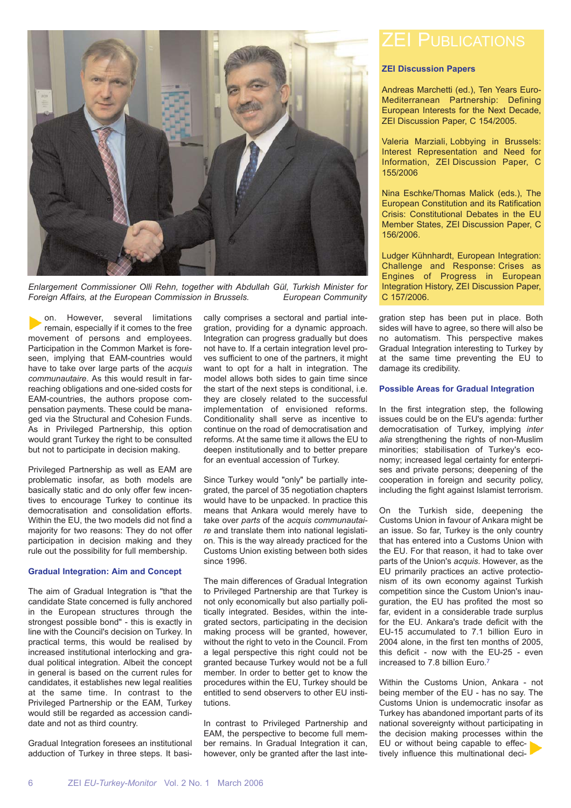

*Enlargement Commissioner Olli Rehn, together with Abdullah Gül, Turkish Minister for Foreign Affairs, at the European Commission in Brussels. European Community*

on. However, several limitations remain, especially if it comes to the free movement of persons and employees. Participation in the Common Market is foreseen, implying that EAM-countries would have to take over large parts of the *acquis communautaire*. As this would result in farreaching obligations and one-sided costs for EAM-countries, the authors propose compensation payments. These could be managed via the Structural and Cohesion Funds. As in Privileged Partnership, this option would grant Turkey the right to be consulted but not to participate in decision making.

Privileged Partnership as well as EAM are problematic insofar, as both models are basically static and do only offer few incentives to encourage Turkey to continue its democratisation and consolidation efforts. Within the EU, the two models did not find a majority for two reasons: They do not offer participation in decision making and they rule out the possibility for full membership.

## **Gradual Integration: Aim and Concept**

The aim of Gradual Integration is "that the candidate State concerned is fully anchored in the European structures through the strongest possible bond" - this is exactly in line with the Council's decision on Turkey. In practical terms, this would be realised by increased institutional interlocking and gradual political integration. Albeit the concept in general is based on the current rules for candidates, it establishes new legal realities at the same time. In contrast to the Privileged Partnership or the EAM, Turkey would still be regarded as accession candidate and not as third country.

Gradual Integration foresees an institutional adduction of Turkey in three steps. It basically comprises a sectoral and partial integration, providing for a dynamic approach. Integration can progress gradually but does not have to. If a certain integration level proves sufficient to one of the partners, it might want to opt for a halt in integration. The model allows both sides to gain time since the start of the next steps is conditional, i.e. they are closely related to the successful implementation of envisioned reforms. Conditionality shall serve as incentive to continue on the road of democratisation and reforms. At the same time it allows the EU to deepen institutionally and to better prepare for an eventual accession of Turkey.

Since Turkey would "only" be partially integrated, the parcel of 35 negotiation chapters would have to be unpacked. In practice this means that Ankara would merely have to take over *parts* of the *acquis communautaire* and translate them into national legislation. This is the way already practiced for the Customs Union existing between both sides since 1996.

The main differences of Gradual Integration to Privileged Partnership are that Turkey is not only economically but also partially politically integrated. Besides, within the integrated sectors, participating in the decision making process will be granted, however, without the right to veto in the Council. From a legal perspective this right could not be granted because Turkey would not be a full member. In order to better get to know the procedures within the EU, Turkey should be entitled to send observers to other EU institutions.

In contrast to Privileged Partnership and EAM, the perspective to become full member remains. In Gradual Integration it can, however, only be granted after the last inte-

### **ZEI Discussion Papers**

Andreas Marchetti (ed.), Ten Years Euro-Mediterranean Partnership: Defining European Interests for the Next Decade, ZEI Discussion Paper, C 154/2005.

Valeria Marziali, Lobbying in Brussels: Interest Representation and Need for Information, ZEI Discussion Paper, C 155/2006

Nina Eschke/Thomas Malick (eds.), The European Constitution and its Ratification Crisis: Constitutional Debates in the EU Member States, ZEI Discussion Paper, C 156/2006.

Ludger Kühnhardt, European Integration: Challenge and Response: Crises as Engines of Progress in European Integration History, ZEI Discussion Paper, C 157/2006.

gration step has been put in place. Both sides will have to agree, so there will also be no automatism. This perspective makes Gradual Integration interesting to Turkey by at the same time preventing the EU to damage its credibility.

### **Possible Areas for Gradual Integration**

In the first integration step, the following issues could be on the EU's agenda: further democratisation of Turkey, implying *inter alia* strengthening the rights of non-Muslim minorities; stabilisation of Turkey's economy; increased legal certainty for enterprises and private persons; deepening of the cooperation in foreign and security policy, including the fight against Islamist terrorism.

On the Turkish side, deepening the Customs Union in favour of Ankara might be an issue. So far, Turkey is the only country that has entered into a Customs Union with the EU. For that reason, it had to take over parts of the Union's *acquis*. However, as the EU primarily practices an active protectionism of its own economy against Turkish competition since the Custom Union's inauguration, the EU has profited the most so far, evident in a considerable trade surplus for the EU. Ankara's trade deficit with the EU-15 accumulated to 7.1 billion Euro in 2004 alone, in the first ten months of 2005, this deficit - now with the EU-25 - even increased to 7.8 billion Euro.7

Within the Customs Union, Ankara - not being member of the EU - has no say. The Customs Union is undemocratic insofar as Turkey has abandoned important parts of its national sovereignty without participating in the decision making processes within the EU or without being capable to effectively influence this multinational deci-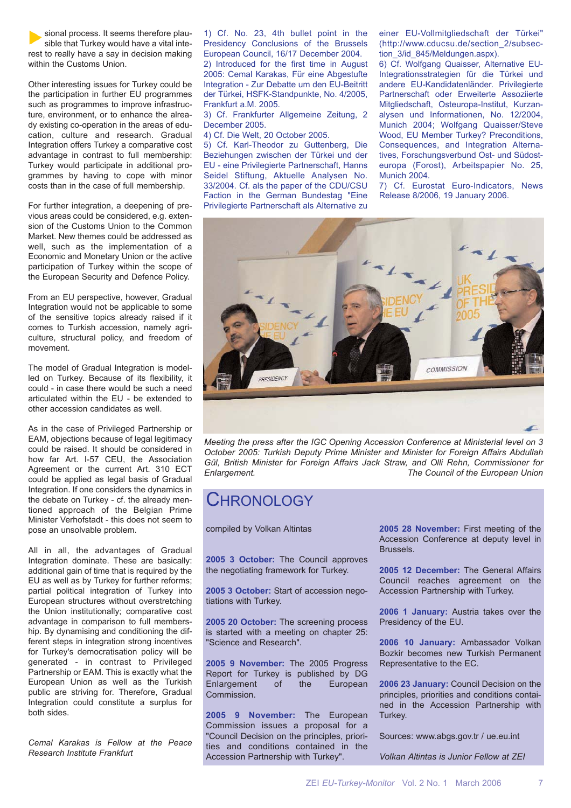sional process. It seems therefore plausible that Turkey would have a vital interest to really have a say in decision making within the Customs Union.

Other interesting issues for Turkey could be the participation in further EU programmes such as programmes to improve infrastructure, environment, or to enhance the already existing co-operation in the areas of education, culture and research. Gradual Integration offers Turkey a comparative cost advantage in contrast to full membership: Turkey would participate in additional programmes by having to cope with minor costs than in the case of full membership.

For further integration, a deepening of previous areas could be considered, e.g. extension of the Customs Union to the Common Market. New themes could be addressed as well, such as the implementation of a Economic and Monetary Union or the active participation of Turkey within the scope of the European Security and Defence Policy.

From an EU perspective, however, Gradual Integration would not be applicable to some of the sensitive topics already raised if it comes to Turkish accession, namely agriculture, structural policy, and freedom of movement.

The model of Gradual Integration is modelled on Turkey. Because of its flexibility, it could - in case there would be such a need articulated within the EU - be extended to other accession candidates as well.

As in the case of Privileged Partnership or EAM, objections because of legal legitimacy could be raised. It should be considered in how far Art. I-57 CEU, the Association Agreement or the current Art. 310 ECT could be applied as legal basis of Gradual Integration. If one considers the dynamics in the debate on Turkey - cf. the already mentioned approach of the Belgian Prime Minister Verhofstadt - this does not seem to pose an unsolvable problem.

All in all, the advantages of Gradual Integration dominate. These are basically: additional gain of time that is required by the EU as well as by Turkey for further reforms; partial political integration of Turkey into European structures without overstretching the Union institutionally; comparative cost advantage in comparison to full membership. By dynamising and conditioning the different steps in integration strong incentives for Turkey's democratisation policy will be generated - in contrast to Privileged Partnership or EAM. This is exactly what the European Union as well as the Turkish public are striving for. Therefore, Gradual Integration could constitute a surplus for both sides.

*Cemal Karakas is Fellow at the Peace Research Institute Frankfurt*

1) Cf. No. 23, 4th bullet point in the Presidency Conclusions of the Brussels European Council, 16/17 December 2004.

2) Introduced for the first time in August 2005: Cemal Karakas, Für eine Abgestufte Integration - Zur Debatte um den EU-Beitritt der Türkei, HSFK-Standpunkte, No. 4/2005, Frankfurt a.M. 2005.

3) Cf. Frankfurter Allgemeine Zeitung, 2 December 2005.

4) Cf. Die Welt, 20 October 2005.

5) Cf. Karl-Theodor zu Guttenberg, Die Beziehungen zwischen der Türkei und der EU - eine Privilegierte Partnerschaft, Hanns Seidel Stiftung, Aktuelle Analysen No. 33/2004. Cf. als the paper of the CDU/CSU Faction in the German Bundestag "Eine Privilegierte Partnerschaft als Alternative zu

einer EU-Vollmitgliedschaft der Türkei" (http://www.cducsu.de/section\_2/subsection\_3/id\_845/Meldungen.aspx).

6) Cf. Wolfgang Quaisser, Alternative EU-Integrationsstrategien für die Türkei und andere EU-Kandidatenländer. Privilegierte Partnerschaft oder Erweiterte Assoziierte Mitgliedschaft, Osteuropa-Institut, Kurzanalysen und Informationen, No. 12/2004, Munich 2004; Wolfgang Quaisser/Steve Wood, EU Member Turkey? Preconditions, Consequences, and Integration Alternatives, Forschungsverbund Ost- und Südosteuropa (Forost), Arbeitspapier No. 25, Munich 2004.

7) Cf. Eurostat Euro-Indicators, News Release 8/2006, 19 January 2006.



*Meeting the press after the IGC Opening Accession Conference at Ministerial level on 3 October 2005: Turkish Deputy Prime Minister and Minister for Foreign Affairs Abdullah Gül, British Minister for Foreign Affairs Jack Straw, and Olli Rehn, Commissioner for Enlargement. The Council of the European Union*

## CHRONOLOGY

compiled by Volkan Altintas

**2005 3 October:** The Council approves the negotiating framework for Turkey.

**2005 3 October:** Start of accession negotiations with Turkey.

**2005 20 October:** The screening process is started with a meeting on chapter 25: "Science and Research".

**2005 9 November:** The 2005 Progress Report for Turkey is published by DG Enlargement of the European Commission.

**2005 9 November:** The European Commission issues a proposal for a "Council Decision on the principles, priorities and conditions contained in the Accession Partnership with Turkey".

**2005 28 November:** First meeting of the Accession Conference at deputy level in Brussels.

**2005 12 December:** The General Affairs Council reaches agreement on the Accession Partnership with Turkey.

**2006 1 January:** Austria takes over the Presidency of the EU.

**2006 10 January:** Ambassador Volkan Bozkir becomes new Turkish Permanent Representative to the EC.

**2006 23 January:** Council Decision on the principles, priorities and conditions contained in the Accession Partnership with Turkey.

Sources: www.abgs.gov.tr / ue.eu.int

*Volkan Altintas is Junior Fellow at ZEI*